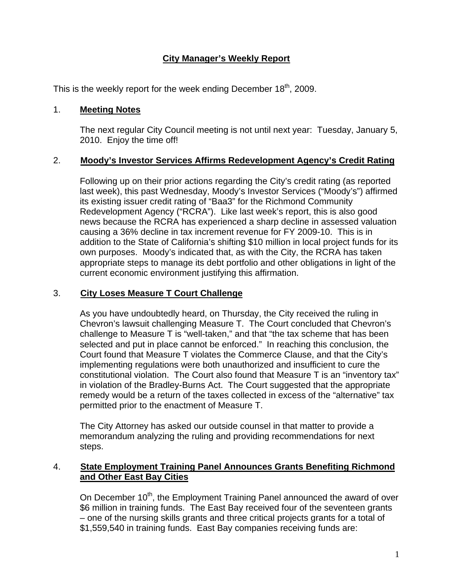# **City Manager's Weekly Report**

This is the weekly report for the week ending December  $18<sup>th</sup>$ , 2009.

#### 1. **Meeting Notes**

The next regular City Council meeting is not until next year: Tuesday, January 5, 2010. Enjoy the time off!

### 2. **Moody's Investor Services Affirms Redevelopment Agency's Credit Rating**

Following up on their prior actions regarding the City's credit rating (as reported last week), this past Wednesday, Moody's Investor Services ("Moody's") affirmed its existing issuer credit rating of "Baa3" for the Richmond Community Redevelopment Agency ("RCRA"). Like last week's report, this is also good news because the RCRA has experienced a sharp decline in assessed valuation causing a 36% decline in tax increment revenue for FY 2009-10. This is in addition to the State of California's shifting \$10 million in local project funds for its own purposes. Moody's indicated that, as with the City, the RCRA has taken appropriate steps to manage its debt portfolio and other obligations in light of the current economic environment justifying this affirmation.

#### 3. **City Loses Measure T Court Challenge**

As you have undoubtedly heard, on Thursday, the City received the ruling in Chevron's lawsuit challenging Measure T. The Court concluded that Chevron's challenge to Measure T is "well-taken," and that "the tax scheme that has been selected and put in place cannot be enforced." In reaching this conclusion, the Court found that Measure T violates the Commerce Clause, and that the City's implementing regulations were both unauthorized and insufficient to cure the constitutional violation. The Court also found that Measure T is an "inventory tax" in violation of the Bradley-Burns Act. The Court suggested that the appropriate remedy would be a return of the taxes collected in excess of the "alternative" tax permitted prior to the enactment of Measure T.

The City Attorney has asked our outside counsel in that matter to provide a memorandum analyzing the ruling and providing recommendations for next steps.

### 4. **State Employment Training Panel Announces Grants Benefiting Richmond and Other East Bay Cities**

On December 10<sup>th</sup>, the Employment Training Panel announced the award of over \$6 million in training funds. The East Bay received four of the seventeen grants – one of the nursing skills grants and three critical projects grants for a total of \$1,559,540 in training funds. East Bay companies receiving funds are: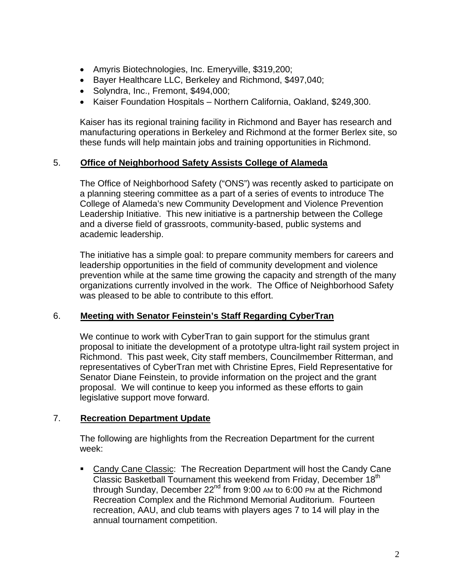- Amyris Biotechnologies, Inc. Emeryville, \$319,200;
- Bayer Healthcare LLC, Berkeley and Richmond, \$497,040;
- Solyndra, Inc., Fremont, \$494,000;
- Kaiser Foundation Hospitals Northern California, Oakland, \$249,300.

Kaiser has its regional training facility in Richmond and Bayer has research and manufacturing operations in Berkeley and Richmond at the former Berlex site, so these funds will help maintain jobs and training opportunities in Richmond.

#### 5. **Office of Neighborhood Safety Assists College of Alameda**

The Office of Neighborhood Safety ("ONS") was recently asked to participate on a planning steering committee as a part of a series of events to introduce The College of Alameda's new Community Development and Violence Prevention Leadership Initiative. This new initiative is a partnership between the College and a diverse field of grassroots, community-based, public systems and academic leadership.

The initiative has a simple goal: to prepare community members for careers and leadership opportunities in the field of community development and violence prevention while at the same time growing the capacity and strength of the many organizations currently involved in the work. The Office of Neighborhood Safety was pleased to be able to contribute to this effort.

#### 6. **Meeting with Senator Feinstein's Staff Regarding CyberTran**

We continue to work with CyberTran to gain support for the stimulus grant proposal to initiate the development of a prototype ultra-light rail system project in Richmond. This past week, City staff members, Councilmember Ritterman, and representatives of CyberTran met with Christine Epres, Field Representative for Senator Diane Feinstein, to provide information on the project and the grant proposal. We will continue to keep you informed as these efforts to gain legislative support move forward.

#### 7. **Recreation Department Update**

The following are highlights from the Recreation Department for the current week:

• Candy Cane Classic: The Recreation Department will host the Candy Cane Classic Basketball Tournament this weekend from Friday, December 18<sup>th</sup> through Sunday, December  $22^{nd}$  from 9:00 AM to 6:00 PM at the Richmond Recreation Complex and the Richmond Memorial Auditorium. Fourteen recreation, AAU, and club teams with players ages 7 to 14 will play in the annual tournament competition.